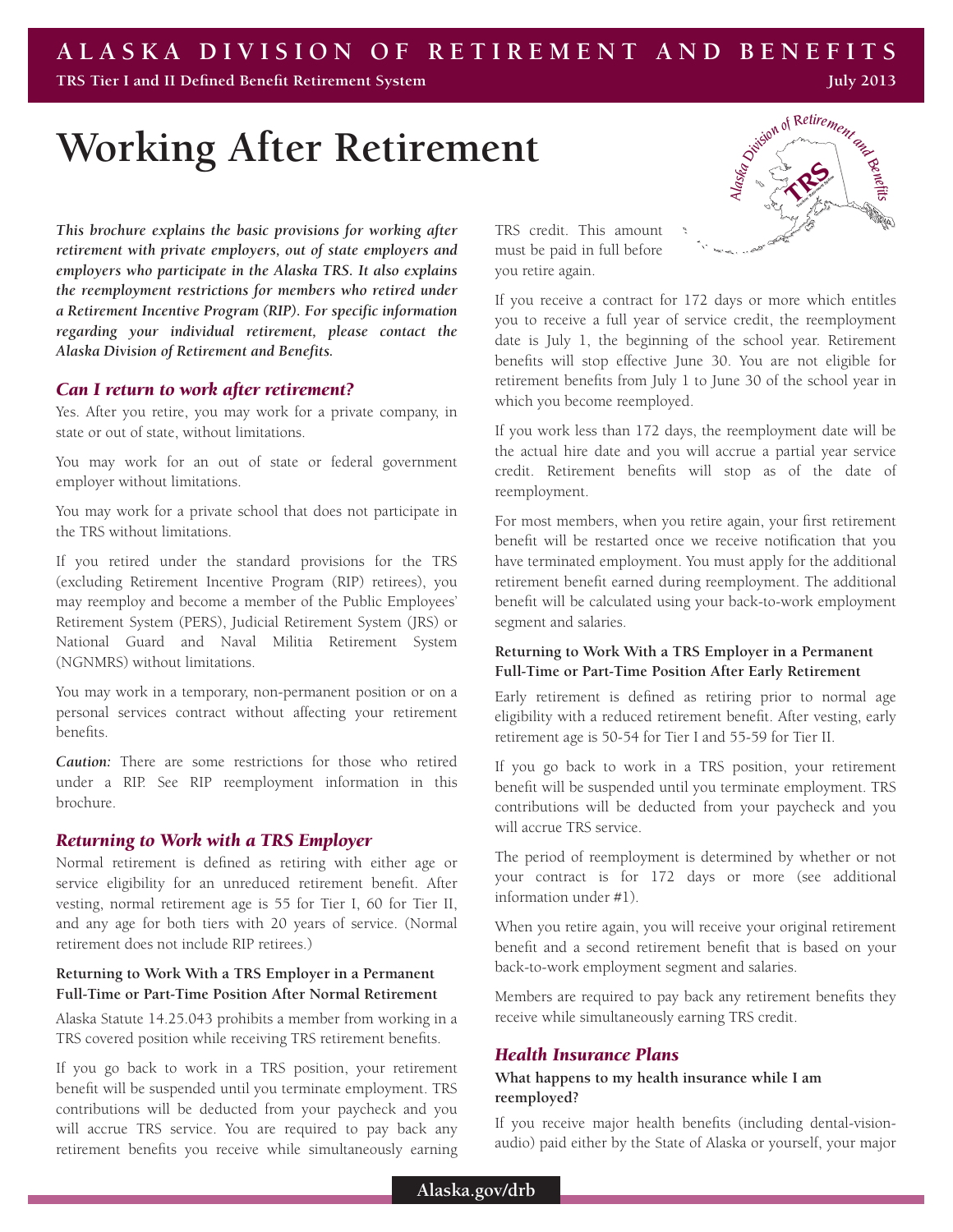# **ALASKA DIVISION OF RETIREMENT AND BENEFITS**

**TRS Tier I and II Defined Benefit Retirement System**

**Working After Retirement**

*This brochure explains the basic provisions for working after retirement with private employers, out of state employers and employers who participate in the Alaska TRS. It also explains the reemployment restrictions for members who retired under a Retirement Incentive Program (RIP). For specific information regarding your individual retirement, please contact the Alaska Division of Retirement and Benefits.*

#### *Can I return to work after retirement?*

Yes. After you retire, you may work for a private company, in state or out of state, without limitations.

You may work for an out of state or federal government employer without limitations.

You may work for a private school that does not participate in the TRS without limitations.

If you retired under the standard provisions for the TRS (excluding Retirement Incentive Program (RIP) retirees), you may reemploy and become a member of the Public Employees' Retirement System (PERS), Judicial Retirement System (JRS) or National Guard and Naval Militia Retirement System (NGNMRS) without limitations.

You may work in a temporary, non-permanent position or on a personal services contract without affecting your retirement benefits.

*Caution:* There are some restrictions for those who retired under a RIP. See RIP reemployment information in this brochure.

# *Returning to Work with a TRS Employer*

Normal retirement is defined as retiring with either age or service eligibility for an unreduced retirement benefit. After vesting, normal retirement age is 55 for Tier I, 60 for Tier II, and any age for both tiers with 20 years of service. (Normal retirement does not include RIP retirees.)

# **Returning to Work With a TRS Employer in a Permanent Full-Time or Part-Time Position After Normal Retirement**

Alaska Statute 14.25.043 prohibits a member from working in a TRS covered position while receiving TRS retirement benefits.

If you go back to work in a TRS position, your retirement benefit will be suspended until you terminate employment. TRS contributions will be deducted from your paycheck and you will accrue TRS service. You are required to pay back any retirement benefits you receive while simultaneously earning

TRS credit. This amount must be paid in full before you retire again.



**July 2013**

If you receive a contract for 172 days or more which entitles you to receive a full year of service credit, the reemployment date is July 1, the beginning of the school year. Retirement benefits will stop effective June 30. You are not eligible for retirement benefits from July 1 to June 30 of the school year in which you become reemployed.

If you work less than 172 days, the reemployment date will be the actual hire date and you will accrue a partial year service credit. Retirement benefits will stop as of the date of reemployment.

For most members, when you retire again, your first retirement benefit will be restarted once we receive notification that you have terminated employment. You must apply for the additional retirement benefit earned during reemployment. The additional benefit will be calculated using your back-to-work employment segment and salaries.

# **Returning to Work With a TRS Employer in a Permanent Full-Time or Part-Time Position After Early Retirement**

Early retirement is defined as retiring prior to normal age eligibility with a reduced retirement benefit. After vesting, early retirement age is 50-54 for Tier I and 55-59 for Tier II.

If you go back to work in a TRS position, your retirement benefit will be suspended until you terminate employment. TRS contributions will be deducted from your paycheck and you will accrue TRS service.

The period of reemployment is determined by whether or not your contract is for 172 days or more (see additional information under #1).

When you retire again, you will receive your original retirement benefit and a second retirement benefit that is based on your back-to-work employment segment and salaries.

Members are required to pay back any retirement benefits they receive while simultaneously earning TRS credit.

#### *Health Insurance Plans*

# **What happens to my health insurance while I am reemployed?**

If you receive major health benefits (including dental-visionaudio) paid either by the State of Alaska or yourself, your major